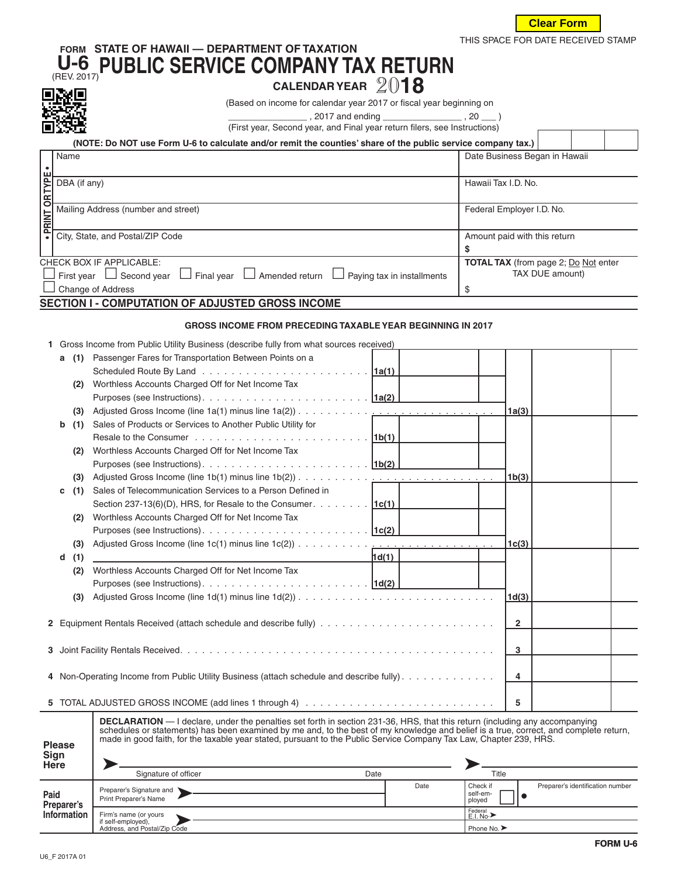

## **FORM STATE OF HAWAII — DEPARTMENT OF TAXATION U-6** (REV. 2017)**PUBLIC SERVICE COMPANY TAX RETURN CALENDAR YEAR** <sup>20</sup>**<sup>18</sup>**



(Based on income for calendar year 2017 or fiscal year beginning on

\_\_\_\_\_\_\_\_\_\_\_\_\_\_\_\_ , 2017 and ending \_\_\_\_\_\_\_\_\_\_\_\_\_\_\_\_ , 20 \_\_\_ )

(First year, Second year, and Final year return filers, see Instructions)

|                                                        | (NOTE: Do NOT use Form U-6 to calculate and/or remit the counties' share of the public service company tax.)   |                                             |  |  |  |
|--------------------------------------------------------|----------------------------------------------------------------------------------------------------------------|---------------------------------------------|--|--|--|
|                                                        | Name                                                                                                           | Date Business Began in Hawaii               |  |  |  |
|                                                        |                                                                                                                |                                             |  |  |  |
|                                                        | DBA (if any)                                                                                                   | Hawaii Tax I.D. No.                         |  |  |  |
| <b>OR TYPE</b>                                         |                                                                                                                |                                             |  |  |  |
| · PRINT                                                | Mailing Address (number and street)                                                                            | Federal Employer I.D. No.                   |  |  |  |
|                                                        | City, State, and Postal/ZIP Code                                                                               | Amount paid with this return                |  |  |  |
|                                                        |                                                                                                                |                                             |  |  |  |
|                                                        | CHECK BOX IF APPLICABLE:                                                                                       | <b>TOTAL TAX</b> (from page 2; Do Not enter |  |  |  |
|                                                        | $\Box$ First year $\Box$ Second year $\Box$ Final year $\Box$ Amended return $\Box$ Paying tax in installments | TAX DUE amount)                             |  |  |  |
|                                                        | $\Box$ Change of Address                                                                                       | \$                                          |  |  |  |
| <b>CECTION L. COMBUTATION OF AD HICTED CROCCINOOME</b> |                                                                                                                |                                             |  |  |  |

## **SECTION I - COMPUTATION OF ADJUSTED GROSS INCOME**

## **GROSS INCOME FROM PRECEDING TAXABLE YEAR BEGINNING IN 2017**

| 1 Gross Income from Public Utility Business (describe fully from what sources received) |  |  |  |
|-----------------------------------------------------------------------------------------|--|--|--|
|                                                                                         |  |  |  |

|                 | DBA (if any)                                                                                                                                                                                                                                                                                                                                                                                                                       |                                                                                                |                                   | Hawaii Tax I.D. No.  |                                             |  |  |
|-----------------|------------------------------------------------------------------------------------------------------------------------------------------------------------------------------------------------------------------------------------------------------------------------------------------------------------------------------------------------------------------------------------------------------------------------------------|------------------------------------------------------------------------------------------------|-----------------------------------|----------------------|---------------------------------------------|--|--|
| · PRINT OR TYPE | Mailing Address (number and street)                                                                                                                                                                                                                                                                                                                                                                                                |                                                                                                |                                   |                      | Federal Employer I.D. No.                   |  |  |
|                 |                                                                                                                                                                                                                                                                                                                                                                                                                                    | City, State, and Postal/ZIP Code                                                               |                                   |                      | Amount paid with this return                |  |  |
|                 |                                                                                                                                                                                                                                                                                                                                                                                                                                    |                                                                                                |                                   | \$                   |                                             |  |  |
|                 |                                                                                                                                                                                                                                                                                                                                                                                                                                    | CHECK BOX IF APPLICABLE:                                                                       |                                   |                      | <b>TOTAL TAX</b> (from page 2; Do Not enter |  |  |
|                 |                                                                                                                                                                                                                                                                                                                                                                                                                                    | First year $\Box$ Second year $\Box$ Final year $\Box$ Amended return $\Box$                   |                                   |                      | TAX DUE amount)                             |  |  |
|                 |                                                                                                                                                                                                                                                                                                                                                                                                                                    |                                                                                                | Paying tax in installments        |                      |                                             |  |  |
|                 |                                                                                                                                                                                                                                                                                                                                                                                                                                    | Change of Address                                                                              |                                   | \$                   |                                             |  |  |
|                 |                                                                                                                                                                                                                                                                                                                                                                                                                                    | SECTION I - COMPUTATION OF ADJUSTED GROSS INCOME                                               |                                   |                      |                                             |  |  |
|                 |                                                                                                                                                                                                                                                                                                                                                                                                                                    | <b>GROSS INCOME FROM PRECEDING TAXABLE YEAR BEGINNING IN 2017</b>                              |                                   |                      |                                             |  |  |
|                 |                                                                                                                                                                                                                                                                                                                                                                                                                                    | 1 Gross Income from Public Utility Business (describe fully from what sources received)        |                                   |                      |                                             |  |  |
|                 | (1)<br>а                                                                                                                                                                                                                                                                                                                                                                                                                           | Passenger Fares for Transportation Between Points on a                                         |                                   |                      |                                             |  |  |
|                 |                                                                                                                                                                                                                                                                                                                                                                                                                                    |                                                                                                |                                   |                      |                                             |  |  |
|                 | (2)                                                                                                                                                                                                                                                                                                                                                                                                                                | Worthless Accounts Charged Off for Net Income Tax                                              |                                   |                      |                                             |  |  |
|                 |                                                                                                                                                                                                                                                                                                                                                                                                                                    |                                                                                                |                                   |                      |                                             |  |  |
|                 | (3)                                                                                                                                                                                                                                                                                                                                                                                                                                |                                                                                                |                                   |                      | 1a(3)                                       |  |  |
|                 | b<br>(1)                                                                                                                                                                                                                                                                                                                                                                                                                           | Sales of Products or Services to Another Public Utility for                                    |                                   |                      |                                             |  |  |
|                 |                                                                                                                                                                                                                                                                                                                                                                                                                                    | Resale to the Consumer $\ldots \ldots \ldots \ldots \ldots \ldots \ldots \ldots \ldots$ [1b(1) |                                   |                      |                                             |  |  |
|                 | (2)                                                                                                                                                                                                                                                                                                                                                                                                                                | Worthless Accounts Charged Off for Net Income Tax                                              |                                   |                      |                                             |  |  |
|                 |                                                                                                                                                                                                                                                                                                                                                                                                                                    |                                                                                                |                                   |                      |                                             |  |  |
|                 | (3)                                                                                                                                                                                                                                                                                                                                                                                                                                |                                                                                                |                                   |                      | 1b(3)                                       |  |  |
|                 | (1)<br>с                                                                                                                                                                                                                                                                                                                                                                                                                           | Sales of Telecommunication Services to a Person Defined in                                     |                                   |                      |                                             |  |  |
|                 |                                                                                                                                                                                                                                                                                                                                                                                                                                    |                                                                                                |                                   |                      |                                             |  |  |
|                 |                                                                                                                                                                                                                                                                                                                                                                                                                                    | Section 237-13(6)(D), HRS, for Resale to the Consumer. 1c(1)                                   |                                   |                      |                                             |  |  |
|                 | (2)                                                                                                                                                                                                                                                                                                                                                                                                                                | Worthless Accounts Charged Off for Net Income Tax                                              |                                   |                      |                                             |  |  |
|                 |                                                                                                                                                                                                                                                                                                                                                                                                                                    |                                                                                                |                                   |                      |                                             |  |  |
|                 | (3)                                                                                                                                                                                                                                                                                                                                                                                                                                | Adjusted Gross Income (line 1c(1) minus line 1c(2))                                            | and the company of the company of |                      | 1 <sub>c</sub> (3)                          |  |  |
|                 | (1)<br>d                                                                                                                                                                                                                                                                                                                                                                                                                           |                                                                                                | 1d(1)                             |                      |                                             |  |  |
|                 | (2)                                                                                                                                                                                                                                                                                                                                                                                                                                | Worthless Accounts Charged Off for Net Income Tax                                              |                                   |                      |                                             |  |  |
|                 |                                                                                                                                                                                                                                                                                                                                                                                                                                    |                                                                                                |                                   |                      |                                             |  |  |
|                 | (3)                                                                                                                                                                                                                                                                                                                                                                                                                                |                                                                                                |                                   |                      | 1 <sub>d</sub> (3)                          |  |  |
|                 |                                                                                                                                                                                                                                                                                                                                                                                                                                    |                                                                                                |                                   |                      |                                             |  |  |
|                 |                                                                                                                                                                                                                                                                                                                                                                                                                                    |                                                                                                |                                   |                      | $\mathbf{2}$                                |  |  |
|                 |                                                                                                                                                                                                                                                                                                                                                                                                                                    |                                                                                                |                                   |                      |                                             |  |  |
|                 |                                                                                                                                                                                                                                                                                                                                                                                                                                    |                                                                                                |                                   |                      | 3                                           |  |  |
|                 |                                                                                                                                                                                                                                                                                                                                                                                                                                    |                                                                                                |                                   |                      |                                             |  |  |
|                 |                                                                                                                                                                                                                                                                                                                                                                                                                                    | 4 Non-Operating Income from Public Utility Business (attach schedule and describe fully)       |                                   |                      | 4                                           |  |  |
|                 |                                                                                                                                                                                                                                                                                                                                                                                                                                    |                                                                                                |                                   |                      |                                             |  |  |
|                 |                                                                                                                                                                                                                                                                                                                                                                                                                                    |                                                                                                |                                   |                      | 5                                           |  |  |
|                 | <b>DECLARATION</b> — I declare, under the penalties set forth in section 231-36, HRS, that this return (including any accompanying<br>schedules or statements) has been examined by me and, to the best of my knowledge and belief is a true, correct, and complete return,<br>made in good faith, for the taxable year stated, pursuant to the Public Service Company Tax Law, Chapter 239, HRS.<br><b>Please</b><br>Sign<br>Here |                                                                                                |                                   |                      |                                             |  |  |
|                 |                                                                                                                                                                                                                                                                                                                                                                                                                                    | Signature of officer                                                                           | Date                              | Title                |                                             |  |  |
|                 |                                                                                                                                                                                                                                                                                                                                                                                                                                    | Preparer's Signature and                                                                       | Date                              | Check if<br>self-em- | Preparer's identification number            |  |  |
| Paid            | Preparer's                                                                                                                                                                                                                                                                                                                                                                                                                         | Print Preparer's Name                                                                          |                                   | ployed               | $\bullet$                                   |  |  |
|                 | <b>Information</b>                                                                                                                                                                                                                                                                                                                                                                                                                 | Firm's name (or yours                                                                          |                                   | Federal<br>E.I. No.> |                                             |  |  |

| <b>Please</b><br>Sign<br><b>Here</b> | schedules or statements) has been examined by me and, to the best of my knowledge and belief is a true, correct, and complete return,<br>made in good faith, for the taxable year stated, pursuant to the Public Service Company Tax Law, Chapter 239, HRS. |      |                                                                    |  |  |
|--------------------------------------|-------------------------------------------------------------------------------------------------------------------------------------------------------------------------------------------------------------------------------------------------------------|------|--------------------------------------------------------------------|--|--|
|                                      | Signature of officer                                                                                                                                                                                                                                        | Date | Title                                                              |  |  |
| Paid<br>Preparer's                   | Preparer's Signature and \<br>Print Preparer's Name                                                                                                                                                                                                         | Date | Check if<br>Preparer's identification number<br>self-em-<br>ployed |  |  |
| Information                          | Firm's name (or yours<br>if self-employed),<br>Address, and Postal/Zip Code                                                                                                                                                                                 |      | Federal<br>E.I. No.><br>Phone No. >                                |  |  |